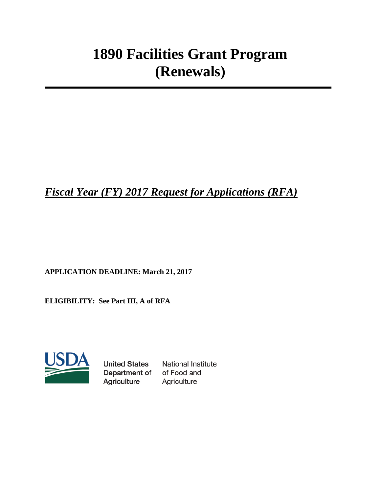# **1890 Facilities Grant Program (Renewals)**

*Fiscal Year (FY) 2017 Request for Applications (RFA)*

**APPLICATION DEADLINE: March 21, 2017** 

**ELIGIBILITY: See Part III, A of RFA**



**United States** Department of Agriculture

**National Institute** of Food and Agriculture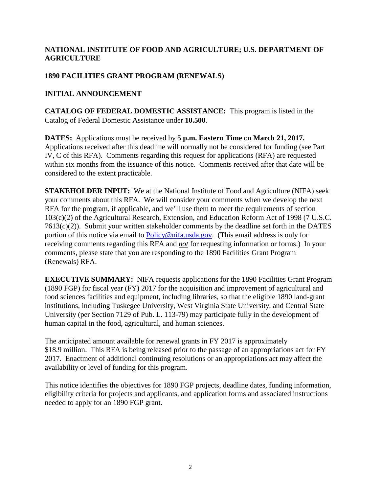## **NATIONAL INSTITUTE OF FOOD AND AGRICULTURE; U.S. DEPARTMENT OF AGRICULTURE**

## **1890 FACILITIES GRANT PROGRAM (RENEWALS)**

## **INITIAL ANNOUNCEMENT**

**CATALOG OF FEDERAL DOMESTIC ASSISTANCE:** This program is listed in the Catalog of Federal Domestic Assistance under **10.500**.

**DATES:** Applications must be received by **5 p.m. Eastern Time** on **March 21, 2017.** Applications received after this deadline will normally not be considered for funding (see Part IV, C of this RFA). Comments regarding this request for applications (RFA) are requested within six months from the issuance of this notice. Comments received after that date will be considered to the extent practicable.

**STAKEHOLDER INPUT:** We at the National Institute of Food and Agriculture (NIFA) seek your comments about this RFA. We will consider your comments when we develop the next RFA for the program, if applicable, and we'll use them to meet the requirements of section 103(c)(2) of the Agricultural Research, Extension, and Education Reform Act of 1998 (7 U.S.C. 7613(c)(2)). Submit your written stakeholder comments by the deadline set forth in the DATES portion of this notice via email to **[Policy@nifa.usda.gov.](mailto:Policy@nifa.usda.gov)** (This email address is only for receiving comments regarding this RFA and *not* for requesting information or forms.) In your comments, please state that you are responding to the 1890 Facilities Grant Program (Renewals) RFA.

**EXECUTIVE SUMMARY:** NIFA requests applications for the 1890 Facilities Grant Program (1890 FGP) for fiscal year (FY) 2017 for the acquisition and improvement of agricultural and food sciences facilities and equipment, including libraries, so that the eligible 1890 land-grant institutions, including Tuskegee University, West Virginia State University, and Central State University (per Section 7129 of Pub. L. 113-79) may participate fully in the development of human capital in the food, agricultural, and human sciences.

The anticipated amount available for renewal grants in FY 2017 is approximately \$18.9 million. This RFA is being released prior to the passage of an appropriations act for FY 2017. Enactment of additional continuing resolutions or an appropriations act may affect the availability or level of funding for this program.

This notice identifies the objectives for 1890 FGP projects, deadline dates, funding information, eligibility criteria for projects and applicants, and application forms and associated instructions needed to apply for an 1890 FGP grant.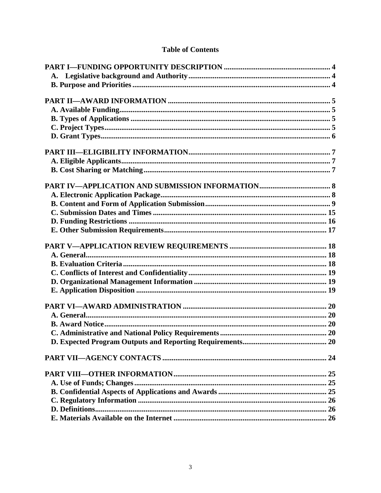# **Table of Contents**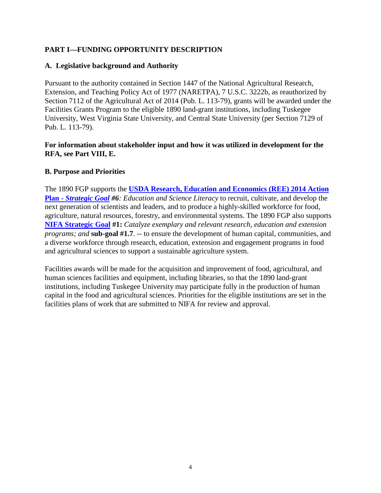## <span id="page-3-0"></span>**PART I—FUNDING OPPORTUNITY DESCRIPTION**

#### <span id="page-3-1"></span>**A. Legislative background and Authority**

Pursuant to the authority contained in Section 1447 of the National Agricultural Research, Extension, and Teaching Policy Act of 1977 (NARETPA), 7 U.S.C. 3222b, as reauthorized by Section 7112 of the Agricultural Act of 2014 (Pub. L. 113-79), grants will be awarded under the Facilities Grants Program to the eligible 1890 land-grant institutions, including Tuskegee University, West Virginia State University, and Central State University (per Section 7129 of Pub. L. 113-79).

#### **For information about stakeholder input and how it was utilized in development for the RFA, see Part VIII, E.**

#### <span id="page-3-2"></span>**B. Purpose and Priorities**

The 1890 FGP supports the **[USDA Research, Education and Economics \(REE\) 2014 Action](http://nifa.usda.gov/resource/ree-action-plan)  Plan -** *[Strategic Goal](http://nifa.usda.gov/resource/ree-action-plan) #6: Education and Science Literacy* to recruit, cultivate, and develop the next generation of scientists and leaders, and to produce a highly-skilled workforce for food, agriculture, natural resources, forestry, and environmental systems. The 1890 FGP also supports **[NIFA Strategic Goal](http://nifa.usda.gov/resource/nifa-strategic-plan-fy2014-fy2018) #1:** *Catalyze exemplary and relevant research, education and extension programs; and* **sub-goal #1.7**. -- to ensure the development of human capital, communities, and a diverse workforce through research, education, extension and engagement programs in food and agricultural sciences to support a sustainable agriculture system.

Facilities awards will be made for the acquisition and improvement of food, agricultural, and human sciences facilities and equipment, including libraries, so that the 1890 land-grant institutions, including Tuskegee University may participate fully in the production of human capital in the food and agricultural sciences. Priorities for the eligible institutions are set in the facilities plans of work that are submitted to NIFA for review and approval.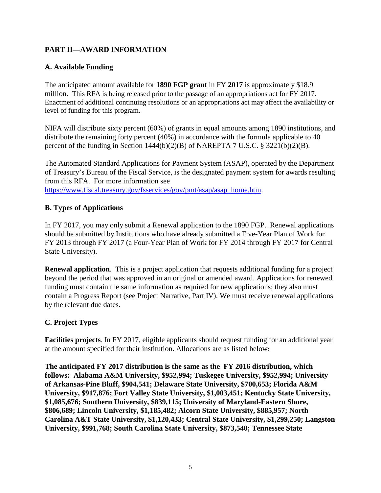# <span id="page-4-0"></span>**PART II—AWARD INFORMATION**

## <span id="page-4-1"></span>**A. Available Funding**

The anticipated amount available for **1890 FGP grant** in FY **2017** is approximately \$18.9 million. This RFA is being released prior to the passage of an appropriations act for FY 2017. Enactment of additional continuing resolutions or an appropriations act may affect the availability or level of funding for this program.

NIFA will distribute sixty percent (60%) of grants in equal amounts among 1890 institutions, and distribute the remaining forty percent (40%) in accordance with the formula applicable to 40 percent of the funding in Section 1444(b)(2)(B) of NAREPTA 7 U.S.C. § 3221(b)(2)(B).

The Automated Standard Applications for Payment System (ASAP), operated by the Department of Treasury's Bureau of the Fiscal Service, is the designated payment system for awards resulting from this RFA. For more information see [https://www.fiscal.treasury.gov/fsservices/gov/pmt/asap/asap\\_home.htm.](https://www.fiscal.treasury.gov/fsservices/gov/pmt/asap/asap_home.htm)

## <span id="page-4-2"></span>**B. Types of Applications**

In FY 2017, you may only submit a Renewal application to the 1890 FGP. Renewal applications should be submitted by Institutions who have already submitted a Five-Year Plan of Work for FY 2013 through FY 2017 (a Four-Year Plan of Work for FY 2014 through FY 2017 for Central State University).

**Renewal application**. This is a project application that requests additional funding for a project beyond the period that was approved in an original or amended award. Applications for renewed funding must contain the same information as required for new applications; they also must contain a Progress Report (see Project Narrative, Part IV). We must receive renewal applications by the relevant due dates.

## <span id="page-4-3"></span>**C. Project Types**

**Facilities projects**. In FY 2017, eligible applicants should request funding for an additional year at the amount specified for their institution. Allocations are as listed below:

**The anticipated FY 2017 distribution is the same as the FY 2016 distribution, which follows: Alabama A&M University, \$952,994; Tuskegee University, \$952,994; University of Arkansas-Pine Bluff, \$904,541; Delaware State University, \$700,653; Florida A&M University, \$917,876; Fort Valley State University, \$1,003,451; Kentucky State University, \$1,085,676; Southern University, \$839,115; University of Maryland-Eastern Shore, \$806,689; Lincoln University, \$1,185,482; Alcorn State University, \$885,957; North Carolina A&T State University, \$1,120,433; Central State University, \$1,299,250; Langston University, \$991,768; South Carolina State University, \$873,540; Tennessee State**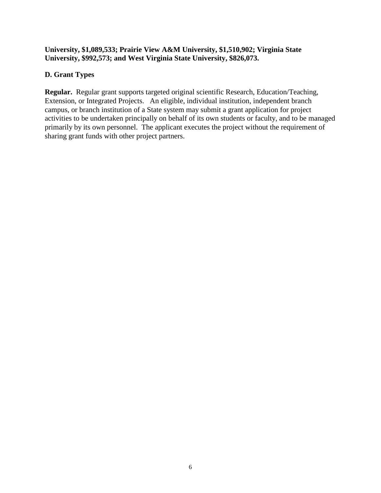## **University, \$1,089,533; Prairie View A&M University, \$1,510,902; Virginia State University, \$992,573; and West Virginia State University, \$826,073.**

## <span id="page-5-0"></span>**D. Grant Types**

<span id="page-5-1"></span>**Regular.** Regular grant supports targeted original scientific Research, Education/Teaching, Extension, or Integrated Projects. An eligible, individual institution, independent branch campus, or branch institution of a State system may submit a grant application for project activities to be undertaken principally on behalf of its own students or faculty, and to be managed primarily by its own personnel. The applicant executes the project without the requirement of sharing grant funds with other project partners.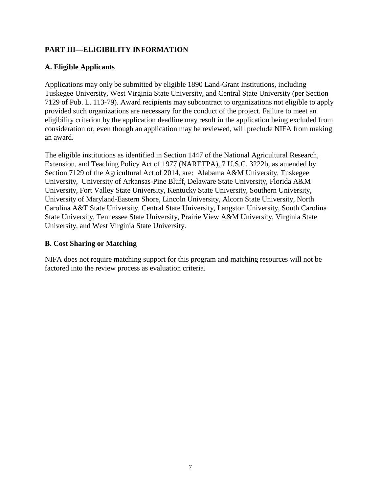# **PART III—ELIGIBILITY INFORMATION**

## <span id="page-6-0"></span>**A. Eligible Applicants**

Applications may only be submitted by eligible 1890 Land-Grant Institutions, including Tuskegee University, West Virginia State University, and Central State University (per Section 7129 of Pub. L. 113-79). Award recipients may subcontract to organizations not eligible to apply provided such organizations are necessary for the conduct of the project. Failure to meet an eligibility criterion by the application deadline may result in the application being excluded from consideration or, even though an application may be reviewed, will preclude NIFA from making an award.

The eligible institutions as identified in Section 1447 of the National Agricultural Research, Extension, and Teaching Policy Act of 1977 (NARETPA), 7 U.S.C. 3222b, as amended by Section 7129 of the Agricultural Act of 2014, are: Alabama A&M University, Tuskegee University, University of Arkansas-Pine Bluff, Delaware State University, Florida A&M University, Fort Valley State University, Kentucky State University, Southern University, University of Maryland-Eastern Shore, Lincoln University, Alcorn State University, North Carolina A&T State University, Central State University, Langston University, South Carolina State University, Tennessee State University, Prairie View A&M University, Virginia State University, and West Virginia State University.

## <span id="page-6-1"></span>**B. Cost Sharing or Matching**

NIFA does not require matching support for this program and matching resources will not be factored into the review process as evaluation criteria.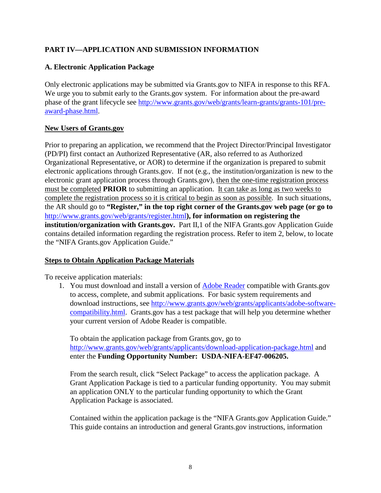# <span id="page-7-0"></span>**PART IV—APPLICATION AND SUBMISSION INFORMATION**

## <span id="page-7-1"></span>**A. Electronic Application Package**

Only electronic applications may be submitted via Grants.gov to NIFA in response to this RFA. We urge you to submit early to the Grants.gov system. For information about the pre-award phase of the grant lifecycle see [http://www.grants.gov/web/grants/learn-grants/grants-101/pre](http://www.grants.gov/web/grants/learn-grants/grants-101/pre-award-phase.html)[award-phase.html.](http://www.grants.gov/web/grants/learn-grants/grants-101/pre-award-phase.html)

## **New Users of Grants.gov**

Prior to preparing an application, we recommend that the Project Director/Principal Investigator (PD/PI) first contact an Authorized Representative (AR, also referred to as Authorized Organizational Representative, or AOR) to determine if the organization is prepared to submit electronic applications through Grants.gov. If not (e.g., the institution/organization is new to the electronic grant application process through Grants.gov), then the one-time registration process must be completed **PRIOR** to submitting an application. It can take as long as two weeks to complete the registration process so it is critical to begin as soon as possible. In such situations, the AR should go to **"Register," in the top right corner of the Grants.gov web page (or go to**  <http://www.grants.gov/web/grants/register.html>**), for information on registering the institution/organization with Grants.gov.** Part II,1 of the NIFA Grants.gov Application Guide contains detailed information regarding the registration process. Refer to item 2, below, to locate the "NIFA Grants.gov Application Guide."

## **Steps to Obtain Application Package Materials**

To receive application materials:

1. You must download and install a version of [Adobe Reader](https://get.adobe.com/reader/) compatible with Grants.gov to access, complete, and submit applications. For basic system requirements and download instructions, see [http://www.grants.gov/web/grants/applicants/adobe-software](http://www.grants.gov/web/grants/applicants/adobe-software-compatibility.html)[compatibility.html.](http://www.grants.gov/web/grants/applicants/adobe-software-compatibility.html) Grants.gov has a test package that will help you determine whether your current version of Adobe Reader is compatible.

To obtain the application package from Grants.gov, go to <http://www.grants.gov/web/grants/applicants/download-application-package.html> and enter the **Funding Opportunity Number: USDA-NIFA-EF47-006205.**

From the search result, click "Select Package" to access the application package. A Grant Application Package is tied to a particular funding opportunity. You may submit an application ONLY to the particular funding opportunity to which the Grant Application Package is associated.

Contained within the application package is the "NIFA Grants.gov Application Guide." This guide contains an introduction and general Grants.gov instructions, information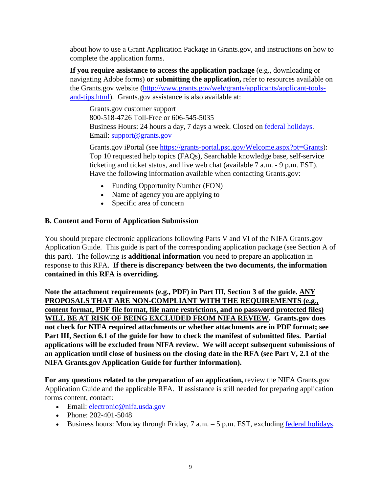about how to use a Grant Application Package in Grants.gov, and instructions on how to complete the application forms.

**If you require assistance to access the application package** (e.g., downloading or navigating Adobe forms) **or submitting the application,** refer to resources available on the Grants.gov website [\(http://www.grants.gov/web/grants/applicants/applicant-tools](http://www.grants.gov/web/grants/applicants/applicant-tools-and-tips.html)[and-tips.html\)](http://www.grants.gov/web/grants/applicants/applicant-tools-and-tips.html). Grants.gov assistance is also available at:

Grants.gov customer support 800-518-4726 Toll-Free or 606-545-5035 Business Hours: 24 hours a day, 7 days a week. Closed on [federal holidays.](http://www.opm.gov/policy-data-oversight/snow-dismissal-procedures/federal-holidays/) Email: [support@grants.gov](mailto:support@grants.gov)

Grants.gov iPortal (see [https://grants-portal.psc.gov/Welcome.aspx?pt=Grants\)](https://grants-portal.psc.gov/Welcome.aspx?pt=Grants): Top 10 requested help topics (FAQs), Searchable knowledge base, self-service ticketing and ticket status, and live web chat (available 7 a.m. - 9 p.m. EST). Have the following information available when contacting Grants.gov:

- Funding Opportunity Number (FON)
- Name of agency you are applying to
- Specific area of concern

## <span id="page-8-0"></span>**B. Content and Form of Application Submission**

You should prepare electronic applications following Parts V and VI of the NIFA Grants.gov Application Guide. This guide is part of the corresponding application package (see Section A of this part). The following is **additional information** you need to prepare an application in response to this RFA. **If there is discrepancy between the two documents, the information contained in this RFA is overriding.**

**Note the attachment requirements (e.g., PDF) in Part III, Section 3 of the guide. ANY PROPOSALS THAT ARE NON-COMPLIANT WITH THE REQUIREMENTS (e.g., content format, PDF file format, file name restrictions, and no password protected files) WILL BE AT RISK OF BEING EXCLUDED FROM NIFA REVIEW. Grants.gov does not check for NIFA required attachments or whether attachments are in PDF format; see Part III, Section 6.1 of the guide for how to check the manifest of submitted files. Partial applications will be excluded from NIFA review. We will accept subsequent submissions of an application until close of business on the closing date in the RFA (see Part V, 2.1 of the NIFA Grants.gov Application Guide for further information).**

**For any questions related to the preparation of an application,** review the NIFA Grants.gov Application Guide and the applicable RFA. If assistance is still needed for preparing application forms content, contact:

- Email: electronic@nifa.usda.gov
- Phone: 202-401-5048
- Business hours: Monday through Friday,  $7$  a.m.  $-5$  p.m. EST, excluding [federal holidays.](https://www.opm.gov/policy-data-oversight/snow-dismissal-procedures/federal-holidays/)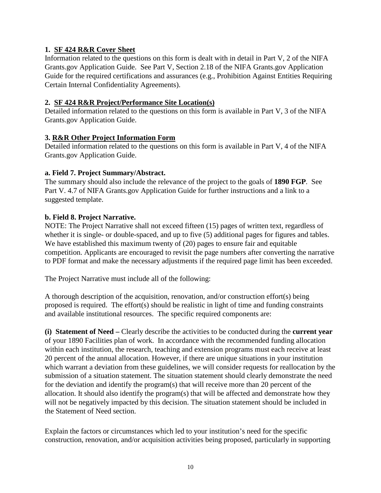## **1. SF 424 R&R Cover Sheet**

Information related to the questions on this form is dealt with in detail in Part V, 2 of the NIFA Grants.gov Application Guide. See Part V, Section 2.18 of the NIFA Grants.gov Application Guide for the required certifications and assurances (e.g., Prohibition Against Entities Requiring Certain Internal Confidentiality Agreements).

## **2. SF 424 R&R Project/Performance Site Location(s)**

Detailed information related to the questions on this form is available in Part V, 3 of the NIFA Grants.gov Application Guide.

## **3. R&R Other Project Information Form**

Detailed information related to the questions on this form is available in Part V, 4 of the NIFA Grants.gov Application Guide.

## **a. Field 7. Project Summary/Abstract.**

The summary should also include the relevance of the project to the goals of **1890 FGP**. See Part V. 4.7 of NIFA Grants.gov Application Guide for further instructions and a link to a suggested template.

## **b. Field 8. Project Narrative.**

NOTE: The Project Narrative shall not exceed fifteen (15) pages of written text, regardless of whether it is single- or double-spaced, and up to five (5) additional pages for figures and tables. We have established this maximum twenty of (20) pages to ensure fair and equitable competition. Applicants are encouraged to revisit the page numbers after converting the narrative to PDF format and make the necessary adjustments if the required page limit has been exceeded.

The Project Narrative must include all of the following:

A thorough description of the acquisition, renovation, and/or construction effort(s) being proposed is required. The effort(s) should be realistic in light of time and funding constraints and available institutional resources. The specific required components are:

**(i) Statement of Need –** Clearly describe the activities to be conducted during the **current year** of your 1890 Facilities plan of work. In accordance with the recommended funding allocation within each institution, the research, teaching and extension programs must each receive at least 20 percent of the annual allocation. However, if there are unique situations in your institution which warrant a deviation from these guidelines, we will consider requests for reallocation by the submission of a situation statement. The situation statement should clearly demonstrate the need for the deviation and identify the program(s) that will receive more than 20 percent of the allocation. It should also identify the program(s) that will be affected and demonstrate how they will not be negatively impacted by this decision. The situation statement should be included in the Statement of Need section.

Explain the factors or circumstances which led to your institution's need for the specific construction, renovation, and/or acquisition activities being proposed, particularly in supporting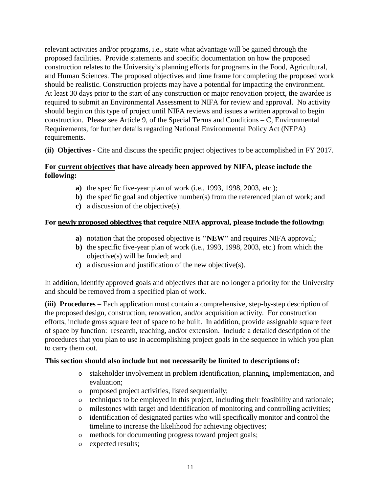relevant activities and/or programs, i.e., state what advantage will be gained through the proposed facilities. Provide statements and specific documentation on how the proposed construction relates to the University's planning efforts for programs in the Food, Agricultural, and Human Sciences. The proposed objectives and time frame for completing the proposed work should be realistic. Construction projects may have a potential for impacting the environment. At least 30 days prior to the start of any construction or major renovation project, the awardee is required to submit an Environmental Assessment to NIFA for review and approval. No activity should begin on this type of project until NIFA reviews and issues a written approval to begin construction. Please see Article 9, of the Special Terms and Conditions – C, Environmental Requirements, for further details regarding National Environmental Policy Act (NEPA) requirements.

**(ii) Objectives -** Cite and discuss the specific project objectives to be accomplished in FY 2017.

## **For current objectives that have already been approved by NIFA, please include the following:**

- **a)** the specific five-year plan of work (i.e., 1993, 1998, 2003, etc.);
- **b)** the specific goal and objective number(s) from the referenced plan of work; and
- **c)** a discussion of the objective(s).

## **For newly proposed objectives that require NIFA approval, please include the following:**

- **a)** notation that the proposed objective is **"NEW"** and requires NIFA approval;
- **b)** the specific five-year plan of work (i.e., 1993, 1998, 2003, etc.) from which the objective(s) will be funded; and
- **c)** a discussion and justification of the new objective(s).

In addition, identify approved goals and objectives that are no longer a priority for the University and should be removed from a specified plan of work.

**(iii) Procedures** – Each application must contain a comprehensive, step-by-step description of the proposed design, construction, renovation, and/or acquisition activity. For construction efforts, include gross square feet of space to be built. In addition, provide assignable square feet of space by function: research, teaching, and/or extension. Include a detailed description of the procedures that you plan to use in accomplishing project goals in the sequence in which you plan to carry them out.

## **This section should also include but not necessarily be limited to descriptions of:**

- o stakeholder involvement in problem identification, planning, implementation, and evaluation;
- o proposed project activities, listed sequentially;
- o techniques to be employed in this project, including their feasibility and rationale;
- o milestones with target and identification of monitoring and controlling activities;
- o identification of designated parties who will specifically monitor and control the timeline to increase the likelihood for achieving objectives;
- o methods for documenting progress toward project goals;
- o expected results;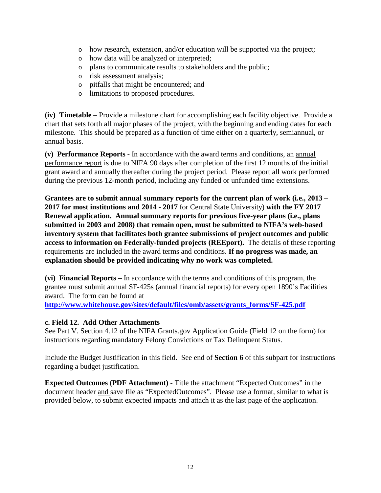- o how research, extension, and/or education will be supported via the project;
- o how data will be analyzed or interpreted;
- o plans to communicate results to stakeholders and the public;
- o risk assessment analysis;
- o pitfalls that might be encountered; and
- o limitations to proposed procedures.

**(iv) Timetable** – Provide a milestone chart for accomplishing each facility objective. Provide a chart that sets forth all major phases of the project, with the beginning and ending dates for each milestone. This should be prepared as a function of time either on a quarterly, semiannual, or annual basis.

**(v) Performance Reports -** In accordance with the award terms and conditions, an annual performance report is due to NIFA 90 days after completion of the first 12 months of the initial grant award and annually thereafter during the project period. Please report all work performed during the previous 12-month period, including any funded or unfunded time extensions.

**Grantees are to submit annual summary reports for the current plan of work (i.e., 2013 – 2017 for most institutions and 2014 - 2017** for Central State University) **with the FY 2017 Renewal application. Annual summary reports for previous five-year plans (i.e., plans submitted in 2003 and 2008) that remain open, must be submitted to NIFA's web-based inventory system that facilitates both grantee submissions of project outcomes and public access to information on Federally-funded projects (REEport).** The details of these reporting requirements are included in the award terms and conditions. **If no progress was made, an explanation should be provided indicating why no work was completed.**

**(vi) Financial Reports –** In accordance with the terms and conditions of this program, the grantee must submit annual SF-425s (annual financial reports) for every open 1890's Facilities award. The form can be found at

**[http://www.whitehouse.gov/sites/default/files/omb/assets/grants\\_forms/SF-425.pdf](http://www.whitehouse.gov/sites/default/files/omb/assets/grants_forms/SF-425.pdf)**

## **c. Field 12. Add Other Attachments**

See Part V. Section 4.12 of the NIFA Grants.gov Application Guide (Field 12 on the form) for instructions regarding mandatory Felony Convictions or Tax Delinquent Status.

Include the Budget Justification in this field. See end of **Section 6** of this subpart for instructions regarding a budget justification.

**Expected Outcomes (PDF Attachment) -** Title the attachment "Expected Outcomes" in the document header and save file as "ExpectedOutcomes". Please use a format, similar to what is provided below, to submit expected impacts and attach it as the last page of the application.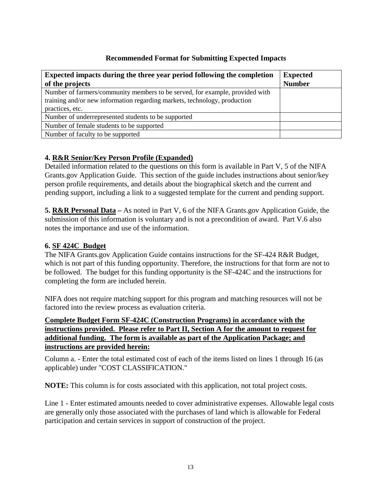## **Recommended Format for Submitting Expected Impacts**

| <b>Expected impacts during the three year period following the completion</b> | <b>Expected</b> |
|-------------------------------------------------------------------------------|-----------------|
| of the projects                                                               | <b>Number</b>   |
| Number of farmers/community members to be served, for example, provided with  |                 |
| training and/or new information regarding markets, technology, production     |                 |
| practices, etc.                                                               |                 |
| Number of underrepresented students to be supported                           |                 |
| Number of female students to be supported                                     |                 |
| Number of faculty to be supported                                             |                 |

## **4. R&R Senior/Key Person Profile (Expanded)**

Detailed information related to the questions on this form is available in Part V, 5 of the NIFA Grants.gov Application Guide. This section of the guide includes instructions about senior/key person profile requirements, and details about the biographical sketch and the current and pending support, including a link to a suggested template for the current and pending support.

**5. R&R Personal Data –** As noted in Part V, 6 of the NIFA Grants.gov Application Guide, the submission of this information is voluntary and is not a precondition of award. Part V.6 also notes the importance and use of the information.

## **6. SF 424C Budget**

The NIFA Grants.gov Application Guide contains instructions for the SF-424 R&R Budget, which is not part of this funding opportunity. Therefore, the instructions for that form are not to be followed. The budget for this funding opportunity is the SF-424C and the instructions for completing the form are included herein.

NIFA does not require matching support for this program and matching resources will not be factored into the review process as evaluation criteria.

## **Complete Budget Form SF-424C (Construction Programs) in accordance with the instructions provided. Please refer to Part II, Section A for the amount to request for additional funding. The form is available as part of the Application Package; and instructions are provided herein:**

Column a. - Enter the total estimated cost of each of the items listed on lines 1 through 16 (as applicable) under "COST CLASSIFICATION."

**NOTE:** This column is for costs associated with this application, not total project costs.

Line 1 - Enter estimated amounts needed to cover administrative expenses. Allowable legal costs are generally only those associated with the purchases of land which is allowable for Federal participation and certain services in support of construction of the project.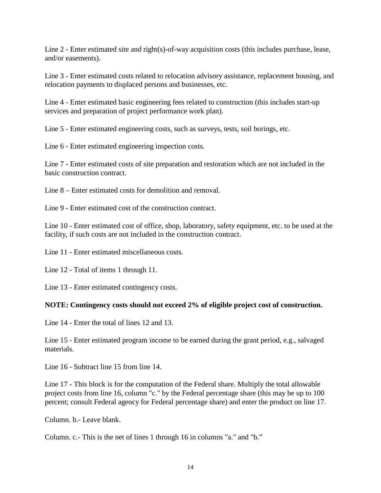Line 2 - Enter estimated site and right(s)-of-way acquisition costs (this includes purchase, lease, and/or easements).

Line 3 - Enter estimated costs related to relocation advisory assistance, replacement housing, and relocation payments to displaced persons and businesses, etc.

Line 4 - Enter estimated basic engineering fees related to construction (this includes start-up services and preparation of project performance work plan).

Line 5 - Enter estimated engineering costs, such as surveys, tests, soil borings, etc.

Line 6 - Enter estimated engineering inspection costs.

Line 7 - Enter estimated costs of site preparation and restoration which are not included in the basic construction contract.

Line 8 – Enter estimated costs for demolition and removal.

Line 9 - Enter estimated cost of the construction contract.

Line 10 - Enter estimated cost of office, shop, laboratory, safety equipment, etc. to be used at the facility, if such costs are not included in the construction contract.

Line 11 - Enter estimated miscellaneous costs.

Line 12 - Total of items 1 through 11.

Line 13 - Enter estimated contingency costs.

## **NOTE: Contingency costs should not exceed 2% of eligible project cost of construction.**

Line 14 - Enter the total of lines 12 and 13.

Line 15 - Enter estimated program income to be earned during the grant period, e.g., salvaged materials.

Line 16 - Subtract line 15 from line 14.

Line 17 - This block is for the computation of the Federal share. Multiply the total allowable project costs from line 16, column "c." by the Federal percentage share (this may be up to 100 percent; consult Federal agency for Federal percentage share) and enter the product on line 17.

Column. b.- Leave blank.

Column. c.- This is the net of lines 1 through 16 in columns "a." and "b."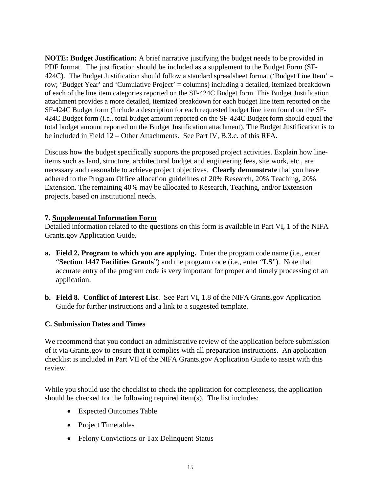**NOTE: Budget Justification:** A brief narrative justifying the budget needs to be provided in PDF format. The justification should be included as a supplement to the Budget Form (SF-424C). The Budget Justification should follow a standard spreadsheet format ('Budget Line Item'  $=$ row; 'Budget Year' and 'Cumulative Project' = columns) including a detailed, itemized breakdown of each of the line item categories reported on the SF-424C Budget form. This Budget Justification attachment provides a more detailed, itemized breakdown for each budget line item reported on the SF-424C Budget form (Include a description for each requested budget line item found on the SF-424C Budget form (i.e., total budget amount reported on the SF-424C Budget form should equal the total budget amount reported on the Budget Justification attachment). The Budget Justification is to be included in Field 12 – Other Attachments. See Part IV, B.3.c. of this RFA.

Discuss how the budget specifically supports the proposed project activities. Explain how lineitems such as land, structure, architectural budget and engineering fees, site work, etc., are necessary and reasonable to achieve project objectives. **Clearly demonstrate** that you have adhered to the Program Office allocation guidelines of 20% Research, 20% Teaching, 20% Extension. The remaining 40% may be allocated to Research, Teaching, and/or Extension projects, based on institutional needs.

## **7. Supplemental Information Form**

Detailed information related to the questions on this form is available in Part VI, 1 of the NIFA Grants.gov Application Guide.

- **a. Field 2. Program to which you are applying.** Enter the program code name (i.e., enter "**Section 1447 Facilities Grants**") and the program code (i.e., enter "**LS**"). Note that accurate entry of the program code is very important for proper and timely processing of an application.
- **b. Field 8. Conflict of Interest List**. See Part VI, 1.8 of the NIFA Grants.gov Application Guide for further instructions and a link to a suggested template.

## <span id="page-14-0"></span>**C. Submission Dates and Times**

We recommend that you conduct an administrative review of the application before submission of it via Grants.gov to ensure that it complies with all preparation instructions. An application checklist is included in Part VII of the NIFA Grants.gov Application Guide to assist with this review.

While you should use the checklist to check the application for completeness, the application should be checked for the following required item(s). The list includes:

- Expected Outcomes Table
- Project Timetables
- Felony Convictions or Tax Delinquent Status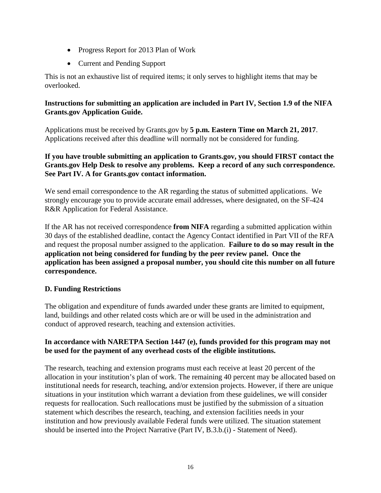- Progress Report for 2013 Plan of Work
- Current and Pending Support

This is not an exhaustive list of required items; it only serves to highlight items that may be overlooked.

## **Instructions for submitting an application are included in Part IV, Section 1.9 of the NIFA Grants.gov Application Guide.**

Applications must be received by Grants.gov by **5 p.m. Eastern Time on March 21, 2017**. Applications received after this deadline will normally not be considered for funding.

## **If you have trouble submitting an application to Grants.gov, you should FIRST contact the Grants.gov Help Desk to resolve any problems. Keep a record of any such correspondence. See Part IV. A for Grants.gov contact information.**

We send email correspondence to the AR regarding the status of submitted applications. We strongly encourage you to provide accurate email addresses, where designated, on the SF-424 R&R Application for Federal Assistance.

If the AR has not received correspondence **from NIFA** regarding a submitted application within 30 days of the established deadline, contact the Agency Contact identified in Part VII of the RFA and request the proposal number assigned to the application. **Failure to do so may result in the application not being considered for funding by the peer review panel. Once the application has been assigned a proposal number, you should cite this number on all future correspondence.**

# <span id="page-15-0"></span>**D. Funding Restrictions**

The obligation and expenditure of funds awarded under these grants are limited to equipment, land, buildings and other related costs which are or will be used in the administration and conduct of approved research, teaching and extension activities.

## **In accordance with NARETPA Section 1447 (e), funds provided for this program may not be used for the payment of any overhead costs of the eligible institutions.**

The research, teaching and extension programs must each receive at least 20 percent of the allocation in your institution's plan of work. The remaining 40 percent may be allocated based on institutional needs for research, teaching, and/or extension projects. However, if there are unique situations in your institution which warrant a deviation from these guidelines, we will consider requests for reallocation. Such reallocations must be justified by the submission of a situation statement which describes the research, teaching, and extension facilities needs in your institution and how previously available Federal funds were utilized. The situation statement should be inserted into the Project Narrative (Part IV, B.3.b.(i) - Statement of Need).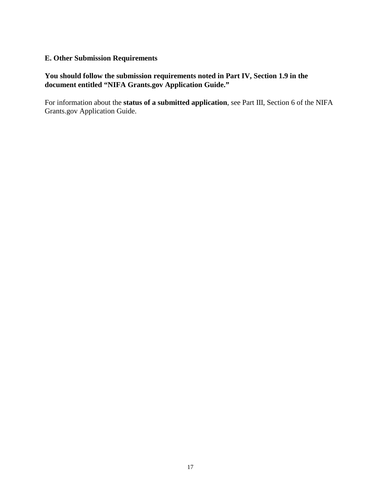#### <span id="page-16-0"></span>**E. Other Submission Requirements**

## **You should follow the submission requirements noted in Part IV, Section 1.9 in the document entitled "NIFA Grants.gov Application Guide."**

For information about the **status of a submitted application**, see Part III, Section 6 of the NIFA Grants.gov Application Guide.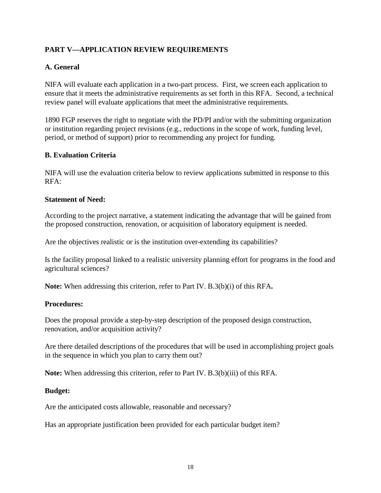# <span id="page-17-0"></span>**PART V—APPLICATION REVIEW REQUIREMENTS**

## <span id="page-17-1"></span>**A. General**

NIFA will evaluate each application in a two-part process. First, we screen each application to ensure that it meets the administrative requirements as set forth in this RFA. Second, a technical review panel will evaluate applications that meet the administrative requirements.

1890 FGP reserves the right to negotiate with the PD/PI and/or with the submitting organization or institution regarding project revisions (e.g., reductions in the scope of work, funding level, period, or method of support) prior to recommending any project for funding.

## <span id="page-17-2"></span>**B. Evaluation Criteria**

NIFA will use the evaluation criteria below to review applications submitted in response to this RFA:

#### **Statement of Need:**

According to the project narrative, a statement indicating the advantage that will be gained from the proposed construction, renovation, or acquisition of laboratory equipment is needed.

Are the objectives realistic or is the institution over-extending its capabilities?

Is the facility proposal linked to a realistic university planning effort for programs in the food and agricultural sciences?

**Note:** When addressing this criterion, refer to Part IV. B.3(b)(i) of this RFA**.**

#### **Procedures:**

Does the proposal provide a step-by-step description of the proposed design construction, renovation, and/or acquisition activity?

Are there detailed descriptions of the procedures that will be used in accomplishing project goals in the sequence in which you plan to carry them out?

**Note:** When addressing this criterion, refer to Part IV. B.3(b)(iii) of this RFA.

#### **Budget:**

Are the anticipated costs allowable, reasonable and necessary?

Has an appropriate justification been provided for each particular budget item?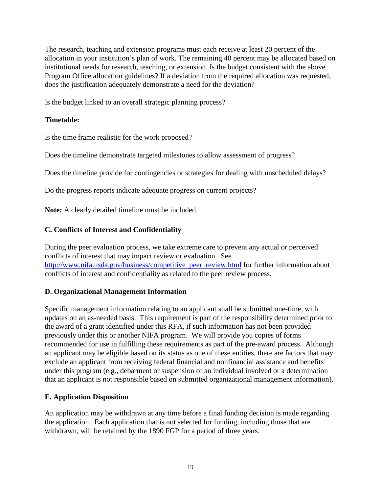The research, teaching and extension programs must each receive at least 20 percent of the allocation in your institution's plan of work. The remaining 40 percent may be allocated based on institutional needs for research, teaching, or extension. Is the budget consistent with the above Program Office allocation guidelines? If a deviation from the required allocation was requested, does the justification adequately demonstrate a need for the deviation?

Is the budget linked to an overall strategic planning process?

## **Timetable:**

Is the time frame realistic for the work proposed?

Does the timeline demonstrate targeted milestones to allow assessment of progress?

Does the timeline provide for contingencies or strategies for dealing with unscheduled delays?

Do the progress reports indicate adequate progress on current projects?

**Note:** A clearly detailed timeline must be included.

## <span id="page-18-0"></span>**C. Conflicts of Interest and Confidentiality**

During the peer evaluation process, we take extreme care to prevent any actual or perceived conflicts of interest that may impact review or evaluation. See http://www.nifa.usda.gov/business/competitive peer review.html for further information about conflicts of interest and confidentiality as related to the peer review process.

## <span id="page-18-1"></span>**D. Organizational Management Information**

Specific management information relating to an applicant shall be submitted one-time, with updates on an as-needed basis. This requirement is part of the responsibility determined prior to the award of a grant identified under this RFA, if such information has not been provided previously under this or another NIFA program. We will provide you copies of forms recommended for use in fulfilling these requirements as part of the pre-award process. Although an applicant may be eligible based on its status as one of these entities, there are factors that may exclude an applicant from receiving federal financial and nonfinancial assistance and benefits under this program (e.g., debarment or suspension of an individual involved or a determination that an applicant is not responsible based on submitted organizational management information).

## <span id="page-18-2"></span>**E. Application Disposition**

An application may be withdrawn at any time before a final funding decision is made regarding the application. Each application that is not selected for funding, including those that are withdrawn, will be retained by the 1890 FGP for a period of three years.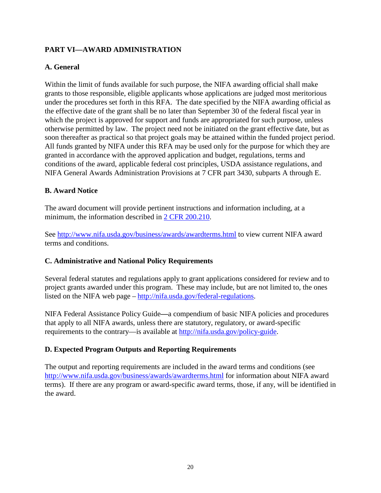# <span id="page-19-0"></span>**PART VI—AWARD ADMINISTRATION**

## <span id="page-19-1"></span>**A. General**

Within the limit of funds available for such purpose, the NIFA awarding official shall make grants to those responsible, eligible applicants whose applications are judged most meritorious under the procedures set forth in this RFA. The date specified by the NIFA awarding official as the effective date of the grant shall be no later than September 30 of the federal fiscal year in which the project is approved for support and funds are appropriated for such purpose, unless otherwise permitted by law. The project need not be initiated on the grant effective date, but as soon thereafter as practical so that project goals may be attained within the funded project period. All funds granted by NIFA under this RFA may be used only for the purpose for which they are granted in accordance with the approved application and budget, regulations, terms and conditions of the award, applicable federal cost principles, USDA assistance regulations, and NIFA General Awards Administration Provisions at 7 CFR part 3430, subparts A through E.

## <span id="page-19-2"></span>**B. Award Notice**

The award document will provide pertinent instructions and information including, at a minimum, the information described in [2 CFR 200.210.](http://www.ecfr.gov/cgi-bin/text-idx?SID=70b44cfc44976f4a7742464f7cfbb37e&mc=true&node=se2.1.200_1210&rgn=div8)

See<http://www.nifa.usda.gov/business/awards/awardterms.html> to view current NIFA award terms and conditions.

## <span id="page-19-3"></span>**C. Administrative and National Policy Requirements**

Several federal statutes and regulations apply to grant applications considered for review and to project grants awarded under this program. These may include, but are not limited to, the ones listed on the NIFA web page – [http://nifa.usda.gov/federal-regulations.](http://nifa.usda.gov/federal-regulations)

NIFA Federal Assistance Policy Guide**—**a compendium of basic NIFA policies and procedures that apply to all NIFA awards, unless there are statutory, regulatory, or award-specific requirements to the contrary—is available at [http://nifa.usda.gov/policy-guide.](http://nifa.usda.gov/policy-guide)

## <span id="page-19-4"></span>**D. Expected Program Outputs and Reporting Requirements**

The output and reporting requirements are included in the award terms and conditions (see <http://www.nifa.usda.gov/business/awards/awardterms.html> for information about NIFA award terms). If there are any program or award-specific award terms, those, if any, will be identified in the award.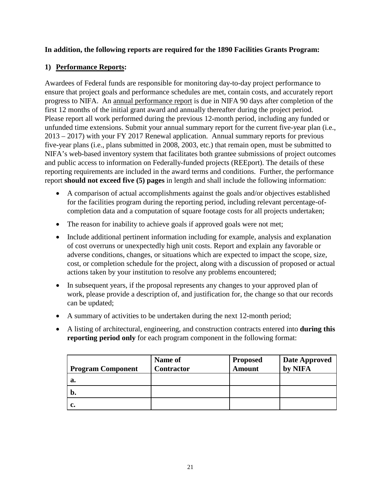## **In addition, the following reports are required for the 1890 Facilities Grants Program:**

## **1) Performance Reports:**

Awardees of Federal funds are responsible for monitoring day-to-day project performance to ensure that project goals and performance schedules are met, contain costs, and accurately report progress to NIFA. An annual performance report is due in NIFA 90 days after completion of the first 12 months of the initial grant award and annually thereafter during the project period. Please report all work performed during the previous 12-month period, including any funded or unfunded time extensions. Submit your annual summary report for the current five-year plan (i.e., 2013 – 2017) with your FY 2017 Renewal application. Annual summary reports for previous five-year plans (i.e., plans submitted in 2008, 2003, etc.) that remain open, must be submitted to NIFA's web-based inventory system that facilitates both grantee submissions of project outcomes and public access to information on Federally-funded projects (REEport). The details of these reporting requirements are included in the award terms and conditions. Further, the performance report **should not exceed five (5) pages** in length and shall include the following information:

- A comparison of actual accomplishments against the goals and/or objectives established for the facilities program during the reporting period, including relevant percentage-ofcompletion data and a computation of square footage costs for all projects undertaken;
- The reason for inability to achieve goals if approved goals were not met;
- Include additional pertinent information including for example, analysis and explanation of cost overruns or unexpectedly high unit costs. Report and explain any favorable or adverse conditions, changes, or situations which are expected to impact the scope, size, cost, or completion schedule for the project, along with a discussion of proposed or actual actions taken by your institution to resolve any problems encountered;
- In subsequent years, if the proposal represents any changes to your approved plan of work, please provide a description of, and justification for, the change so that our records can be updated;
- A summary of activities to be undertaken during the next 12-month period;
- A listing of architectural, engineering, and construction contracts entered into **during this reporting period only** for each program component in the following format:

| <b>Program Component</b> | <b>Name of</b><br><b>Contractor</b> | <b>Proposed</b><br>Amount | <b>Date Approved</b><br>by NIFA |
|--------------------------|-------------------------------------|---------------------------|---------------------------------|
| a.                       |                                     |                           |                                 |
| b.                       |                                     |                           |                                 |
|                          |                                     |                           |                                 |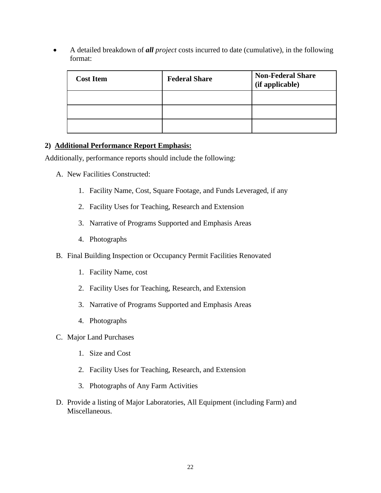• A detailed breakdown of *all project* costs incurred to date (cumulative), in the following format:

| <b>Cost Item</b> | <b>Federal Share</b> | <b>Non-Federal Share</b><br>(if applicable) |
|------------------|----------------------|---------------------------------------------|
|                  |                      |                                             |
|                  |                      |                                             |
|                  |                      |                                             |

## **2) Additional Performance Report Emphasis:**

Additionally, performance reports should include the following:

- A. New Facilities Constructed:
	- 1. Facility Name, Cost, Square Footage, and Funds Leveraged, if any
	- 2. Facility Uses for Teaching, Research and Extension
	- 3. Narrative of Programs Supported and Emphasis Areas
	- 4. Photographs
- B. Final Building Inspection or Occupancy Permit Facilities Renovated
	- 1. Facility Name, cost
	- 2. Facility Uses for Teaching, Research, and Extension
	- 3. Narrative of Programs Supported and Emphasis Areas
	- 4. Photographs
- C. Major Land Purchases
	- 1. Size and Cost
	- 2. Facility Uses for Teaching, Research, and Extension
	- 3. Photographs of Any Farm Activities
- D. Provide a listing of Major Laboratories, All Equipment (including Farm) and Miscellaneous.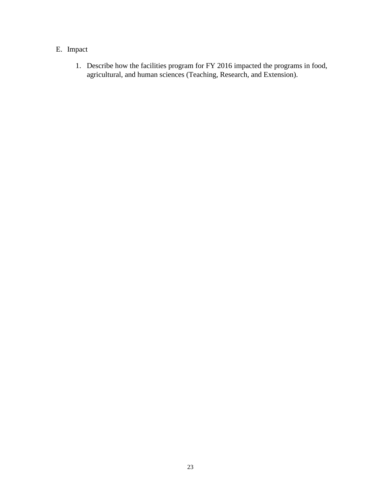# E. Impact

1. Describe how the facilities program for FY 2016 impacted the programs in food, agricultural, and human sciences (Teaching, Research, and Extension).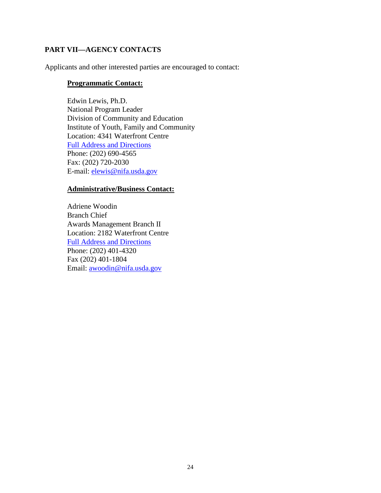## <span id="page-23-0"></span>**PART VII—AGENCY CONTACTS**

Applicants and other interested parties are encouraged to contact:

#### **Programmatic Contact:**

Edwin Lewis, Ph.D. National Program Leader Division of Community and Education Institute of Youth, Family and Community Location: 4341 Waterfront Centre [Full Address and Directions](http://www.csrees.usda.gov/about/visit.html) Phone: (202) 690-4565 Fax: (202) 720-2030 E-mail: [elewis@nifa.usda.gov](mailto:elewis@nifa.usda.gov)

#### **Administrative/Business Contact:**

Adriene Woodin Branch Chief Awards Management Branch II Location: 2182 Waterfront Centre [Full Address and Directions](http://www.csrees.usda.gov/about/visit.html) Phone: (202) 401-4320 Fax (202) 401-1804 Email: [awoodin@nifa.usda.gov](mailto:awoodin@nifa.usda.gov)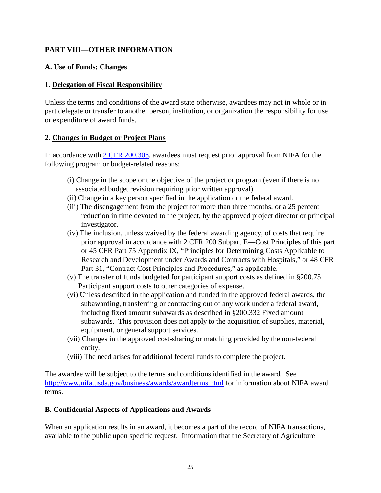# <span id="page-24-0"></span>**PART VIII—OTHER INFORMATION**

#### <span id="page-24-1"></span>**A. Use of Funds; Changes**

#### **1. Delegation of Fiscal Responsibility**

Unless the terms and conditions of the award state otherwise, awardees may not in whole or in part delegate or transfer to another person, institution, or organization the responsibility for use or expenditure of award funds.

#### **2. Changes in Budget or Project Plans**

In accordance with [2 CFR 200.308,](http://www.ecfr.gov/cgi-bin/text-idx?SID=3af89506559b05297e7d0334cb283e24&mc=true&node=se2.1.200_1308&rgn=div8) awardees must request prior approval from NIFA for the following program or budget-related reasons:

- (i) Change in the scope or the objective of the project or program (even if there is no associated budget revision requiring prior written approval).
- (ii) Change in a key person specified in the application or the federal award.
- (iii) The disengagement from the project for more than three months, or a 25 percent reduction in time devoted to the project, by the approved project director or principal investigator.
- (iv) The inclusion, unless waived by the federal awarding agency, of costs that require prior approval in accordance with 2 CFR 200 Subpart E—Cost Principles of this part or 45 CFR Part 75 Appendix IX, "Principles for Determining Costs Applicable to Research and Development under Awards and Contracts with Hospitals," or 48 CFR Part 31, "Contract Cost Principles and Procedures," as applicable.
- (v) The transfer of funds budgeted for participant support costs as defined in §200.75 Participant support costs to other categories of expense.
- (vi) Unless described in the application and funded in the approved federal awards, the subawarding, transferring or contracting out of any work under a federal award, including fixed amount subawards as described in §200.332 Fixed amount subawards. This provision does not apply to the acquisition of supplies, material, equipment, or general support services.
- (vii) Changes in the approved cost-sharing or matching provided by the non-federal entity.
- (viii) The need arises for additional federal funds to complete the project.

The awardee will be subject to the terms and conditions identified in the award. See <http://www.nifa.usda.gov/business/awards/awardterms.html> for information about NIFA award terms.

## <span id="page-24-2"></span>**B. Confidential Aspects of Applications and Awards**

When an application results in an award, it becomes a part of the record of NIFA transactions, available to the public upon specific request. Information that the Secretary of Agriculture